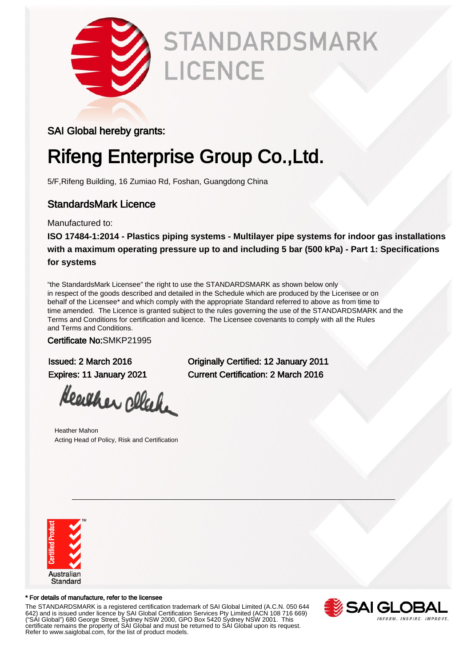

# **STANDARDSMARK** LICENCE

#### SAI Global hereby grants:

## Rifeng Enterprise Group Co.,Ltd.

5/F,Rifeng Building, 16 Zumiao Rd, Foshan, Guangdong China

### StandardsMark Licence

Manufactured to:

**ISO 17484-1:2014 - Plastics piping systems - Multilayer pipe systems for indoor gas installations with a maximum operating pressure up to and including 5 bar (500 kPa) - Part 1: Specifications for systems**

"the StandardsMark Licensee" the right to use the STANDARDSMARK as shown below only in respect of the goods described and detailed in the Schedule which are produced by the Licensee or on behalf of the Licensee\* and which comply with the appropriate Standard referred to above as from time to time amended. The Licence is granted subject to the rules governing the use of the STANDARDSMARK and the Terms and Conditions for certification and licence. The Licensee covenants to comply with all the Rules and Terms and Conditions.

Certificate No:SMKP21995

Heather click

Heather Mahon Acting Head of Policy, Risk and Certification

Issued: 2 March 2016 Originally Certified: 12 January 2011 Expires: 11 January 2021 Current Certification: 2 March 2016



#### \* For details of manufacture, refer to the licensee

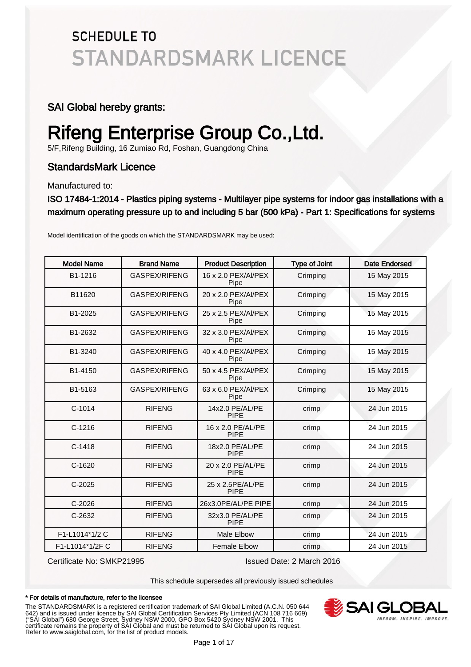#### SAI Global hereby grants:

# Rifeng Enterprise Group Co.,Ltd.

5/F,Rifeng Building, 16 Zumiao Rd, Foshan, Guangdong China

### StandardsMark Licence

Manufactured to:

ISO 17484-1:2014 - Plastics piping systems - Multilayer pipe systems for indoor gas installations with a maximum operating pressure up to and including 5 bar (500 kPa) - Part 1: Specifications for systems

| <b>Model Name</b> | <b>Brand Name</b> | <b>Product Description</b>       | <b>Type of Joint</b> | Date Endorsed |
|-------------------|-------------------|----------------------------------|----------------------|---------------|
| B1-1216           | GASPEX/RIFENG     | 16 x 2.0 PEX/AI/PEX<br>Pipe      | Crimping             | 15 May 2015   |
| B11620            | GASPEX/RIFENG     | 20 x 2.0 PEX/AI/PEX<br>Pipe      | Crimping             | 15 May 2015   |
| B1-2025           | GASPEX/RIFENG     | 25 x 2.5 PEX/Al/PEX<br>Pipe      | Crimping             | 15 May 2015   |
| B1-2632           | GASPEX/RIFENG     | 32 x 3.0 PEX/AI/PEX<br>Pipe      | Crimping             | 15 May 2015   |
| B1-3240           | GASPEX/RIFENG     | 40 x 4.0 PEX/Al/PEX<br>Pipe      | Crimping             | 15 May 2015   |
| B1-4150           | GASPEX/RIFENG     | 50 x 4.5 PEX/AI/PEX<br>Pipe      | Crimping             | 15 May 2015   |
| B1-5163           | GASPEX/RIFENG     | 63 x 6.0 PEX/Al/PEX<br>Pipe      | Crimping             | 15 May 2015   |
| $C-1014$          | <b>RIFENG</b>     | 14x2.0 PE/AL/PE<br><b>PIPE</b>   | crimp                | 24 Jun 2015   |
| $C-1216$          | <b>RIFENG</b>     | 16 x 2.0 PE/AL/PE<br><b>PIPE</b> | crimp                | 24 Jun 2015   |
| $C-1418$          | <b>RIFENG</b>     | 18x2.0 PE/AL/PE<br><b>PIPE</b>   | crimp                | 24 Jun 2015   |
| $C-1620$          | <b>RIFENG</b>     | 20 x 2.0 PE/AL/PE<br><b>PIPE</b> | crimp                | 24 Jun 2015   |
| $C-2025$          | <b>RIFENG</b>     | 25 x 2.5PE/AL/PE<br><b>PIPE</b>  | crimp                | 24 Jun 2015   |
| $C-2026$          | <b>RIFENG</b>     | 26x3.0PE/AL/PE PIPE              | crimp                | 24 Jun 2015   |
| $C-2632$          | <b>RIFENG</b>     | 32x3.0 PE/AL/PE<br><b>PIPE</b>   | crimp                | 24 Jun 2015   |
| F1-L1014*1/2 C    | <b>RIFENG</b>     | Male Elbow                       | crimp                | 24 Jun 2015   |
| F1-L1014*1/2FC    | <b>RIFENG</b>     | <b>Female Elbow</b>              | crimp                | 24 Jun 2015   |

Model identification of the goods on which the STANDARDSMARK may be used:

Certificate No: SMKP21995 Issued Date: 2 March 2016

This schedule supersedes all previously issued schedules

#### \* For details of manufacture, refer to the licensee

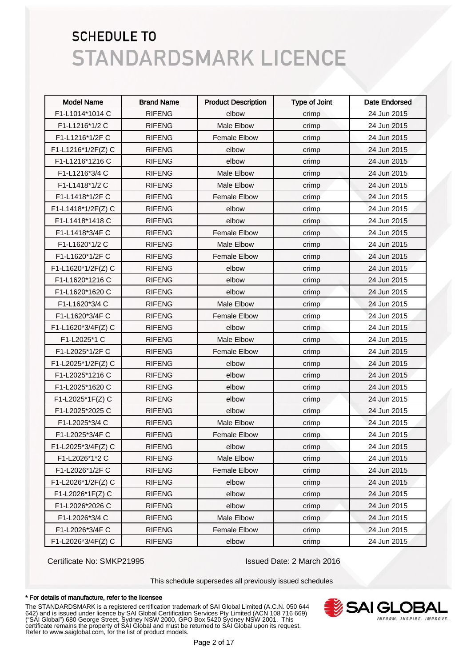| <b>Model Name</b>  | <b>Brand Name</b> | <b>Product Description</b> | <b>Type of Joint</b> | <b>Date Endorsed</b> |
|--------------------|-------------------|----------------------------|----------------------|----------------------|
| F1-L1014*1014 C    | <b>RIFENG</b>     | elbow                      | crimp                | 24 Jun 2015          |
| F1-L1216*1/2 C     | <b>RIFENG</b>     | Male Elbow                 | crimp                | 24 Jun 2015          |
| F1-L1216*1/2F C    | <b>RIFENG</b>     | <b>Female Elbow</b>        | crimp                | 24 Jun 2015          |
| F1-L1216*1/2F(Z) C | <b>RIFENG</b>     | elbow                      | crimp                | 24 Jun 2015          |
| F1-L1216*1216 C    | <b>RIFENG</b>     | elbow                      | crimp                | 24 Jun 2015          |
| F1-L1216*3/4 C     | <b>RIFENG</b>     | Male Elbow                 | crimp                | 24 Jun 2015          |
| F1-L1418*1/2 C     | <b>RIFENG</b>     | Male Elbow                 | crimp                | 24 Jun 2015          |
| F1-L1418*1/2F C    | <b>RIFENG</b>     | Female Elbow               | crimp                | 24 Jun 2015          |
| F1-L1418*1/2F(Z) C | <b>RIFENG</b>     | elbow                      | crimp                | 24 Jun 2015          |
| F1-L1418*1418 C    | <b>RIFENG</b>     | elbow                      | crimp                | 24 Jun 2015          |
| F1-L1418*3/4F C    | <b>RIFENG</b>     | <b>Female Elbow</b>        | crimp                | 24 Jun 2015          |
| F1-L1620*1/2 C     | <b>RIFENG</b>     | Male Elbow                 | crimp                | 24 Jun 2015          |
| F1-L1620*1/2F C    | <b>RIFENG</b>     | <b>Female Elbow</b>        | crimp                | 24 Jun 2015          |
| F1-L1620*1/2F(Z) C | <b>RIFENG</b>     | elbow                      | crimp                | 24 Jun 2015          |
| F1-L1620*1216 C    | <b>RIFENG</b>     | elbow                      | crimp                | 24 Jun 2015          |
| F1-L1620*1620 C    | <b>RIFENG</b>     | elbow                      | crimp                | 24 Jun 2015          |
| F1-L1620*3/4 C     | <b>RIFENG</b>     | Male Elbow                 | crimp                | 24 Jun 2015          |
| F1-L1620*3/4F C    | <b>RIFENG</b>     | <b>Female Elbow</b>        | crimp                | 24 Jun 2015          |
| F1-L1620*3/4F(Z) C | <b>RIFENG</b>     | elbow                      | crimp                | 24 Jun 2015          |
| F1-L2025*1 C       | <b>RIFENG</b>     | Male Elbow                 | crimp                | 24 Jun 2015          |
| F1-L2025*1/2F C    | <b>RIFENG</b>     | <b>Female Elbow</b>        | crimp                | 24 Jun 2015          |
| F1-L2025*1/2F(Z) C | <b>RIFENG</b>     | elbow                      | crimp                | 24 Jun 2015          |
| F1-L2025*1216 C    | <b>RIFENG</b>     | elbow                      | crimp                | 24 Jun 2015          |
| F1-L2025*1620 C    | <b>RIFENG</b>     | elbow                      | crimp                | 24 Jun 2015          |
| F1-L2025*1F(Z) C   | <b>RIFENG</b>     | elbow                      | crimp                | 24 Jun 2015          |
| F1-L2025*2025 C    | <b>RIFENG</b>     | elbow                      | crimp                | 24 Jun 2015          |
| F1-L2025*3/4 C     | <b>RIFENG</b>     | Male Elbow                 | crimp                | 24 Jun 2015          |
| F1-L2025*3/4F C    | <b>RIFENG</b>     | Female Elbow               | crimp                | 24 Jun 2015          |
| F1-L2025*3/4F(Z) C | <b>RIFENG</b>     | elbow                      | crimp                | 24 Jun 2015          |
| F1-L2026*1*2 C     | <b>RIFENG</b>     | Male Elbow                 | crimp                | 24 Jun 2015          |
| F1-L2026*1/2F C    | <b>RIFENG</b>     | <b>Female Elbow</b>        | crimp                | 24 Jun 2015          |
| F1-L2026*1/2F(Z) C | <b>RIFENG</b>     | elbow                      | crimp                | 24 Jun 2015          |
| $F1-L2026*1F(Z)$ C | <b>RIFENG</b>     | elbow                      | crimp                | 24 Jun 2015          |
| F1-L2026*2026 C    | <b>RIFENG</b>     | elbow                      | crimp                | 24 Jun 2015          |
| F1-L2026*3/4 C     | <b>RIFENG</b>     | Male Elbow                 | crimp                | 24 Jun 2015          |
| F1-L2026*3/4F C    | <b>RIFENG</b>     | Female Elbow               | crimp                | 24 Jun 2015          |
| F1-L2026*3/4F(Z) C | <b>RIFENG</b>     | elbow                      | crimp                | 24 Jun 2015          |

Certificate No: SMKP21995 Issued Date: 2 March 2016

This schedule supersedes all previously issued schedules

#### \* For details of manufacture, refer to the licensee

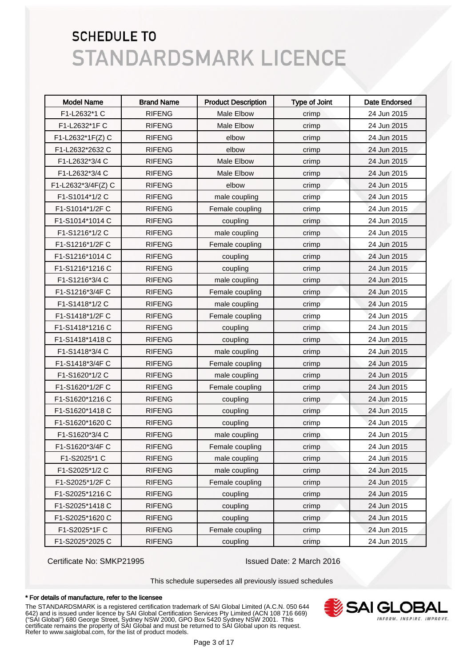| <b>Model Name</b>  | <b>Brand Name</b> | <b>Product Description</b> | <b>Type of Joint</b> | <b>Date Endorsed</b> |
|--------------------|-------------------|----------------------------|----------------------|----------------------|
| F1-L2632*1 C       | <b>RIFENG</b>     | Male Elbow                 | crimp                | 24 Jun 2015          |
| F1-L2632*1F C      | <b>RIFENG</b>     | Male Elbow                 | crimp                | 24 Jun 2015          |
| F1-L2632*1F(Z) C   | <b>RIFENG</b>     | elbow                      | crimp                | 24 Jun 2015          |
| F1-L2632*2632 C    | <b>RIFENG</b>     | elbow                      | crimp                | 24 Jun 2015          |
| F1-L2632*3/4 C     | <b>RIFENG</b>     | Male Elbow                 | crimp                | 24 Jun 2015          |
| F1-L2632*3/4 C     | <b>RIFENG</b>     | Male Elbow                 | crimp                | 24 Jun 2015          |
| F1-L2632*3/4F(Z) C | <b>RIFENG</b>     | elbow                      | crimp                | 24 Jun 2015          |
| F1-S1014*1/2 C     | <b>RIFENG</b>     | male coupling              | crimp                | 24 Jun 2015          |
| F1-S1014*1/2F C    | <b>RIFENG</b>     | Female coupling            | crimp                | 24 Jun 2015          |
| F1-S1014*1014 C    | <b>RIFENG</b>     | coupling                   | crimp                | 24 Jun 2015          |
| F1-S1216*1/2 C     | <b>RIFENG</b>     | male coupling              | crimp                | 24 Jun 2015          |
| F1-S1216*1/2F C    | <b>RIFENG</b>     | Female coupling            | crimp                | 24 Jun 2015          |
| F1-S1216*1014 C    | <b>RIFENG</b>     | coupling                   | crimp                | 24 Jun 2015          |
| F1-S1216*1216 C    | <b>RIFENG</b>     | coupling                   | crimp                | 24 Jun 2015          |
| F1-S1216*3/4 C     | <b>RIFENG</b>     | male coupling              | crimp                | 24 Jun 2015          |
| F1-S1216*3/4F C    | <b>RIFENG</b>     | Female coupling            | crimp                | 24 Jun 2015          |
| F1-S1418*1/2 C     | <b>RIFENG</b>     | male coupling              | crimp                | 24 Jun 2015          |
| F1-S1418*1/2F C    | <b>RIFENG</b>     | Female coupling            | crimp                | 24 Jun 2015          |
| F1-S1418*1216 C    | <b>RIFENG</b>     | coupling                   | crimp                | 24 Jun 2015          |
| F1-S1418*1418 C    | <b>RIFENG</b>     | coupling                   | crimp                | 24 Jun 2015          |
| F1-S1418*3/4 C     | <b>RIFENG</b>     | male coupling              | crimp                | 24 Jun 2015          |
| F1-S1418*3/4F C    | <b>RIFENG</b>     | Female coupling            | crimp                | 24 Jun 2015          |
| F1-S1620*1/2 C     | <b>RIFENG</b>     | male coupling              | crimp                | 24 Jun 2015          |
| F1-S1620*1/2F C    | <b>RIFENG</b>     | Female coupling            | crimp                | 24 Jun 2015          |
| F1-S1620*1216 C    | <b>RIFENG</b>     | coupling                   | crimp                | 24 Jun 2015          |
| F1-S1620*1418 C    | <b>RIFENG</b>     | coupling                   | crimp                | 24 Jun 2015          |
| F1-S1620*1620 C    | <b>RIFENG</b>     | coupling                   | crimp                | 24 Jun 2015          |
| F1-S1620*3/4 C     | <b>RIFENG</b>     | male coupling              | crimp                | 24 Jun 2015          |
| F1-S1620*3/4F C    | <b>RIFENG</b>     | Female coupling            | crimp                | 24 Jun 2015          |
| F1-S2025*1 C       | <b>RIFENG</b>     | male coupling              | crimp                | 24 Jun 2015          |
| F1-S2025*1/2 C     | <b>RIFENG</b>     | male coupling              | crimp                | 24 Jun 2015          |
| F1-S2025*1/2F C    | <b>RIFENG</b>     | Female coupling            | crimp                | 24 Jun 2015          |
| F1-S2025*1216 C    | <b>RIFENG</b>     | coupling                   | crimp                | 24 Jun 2015          |
| F1-S2025*1418 C    | <b>RIFENG</b>     | coupling                   | crimp                | 24 Jun 2015          |
| F1-S2025*1620 C    | <b>RIFENG</b>     | coupling                   | crimp                | 24 Jun 2015          |
| F1-S2025*1FC       | <b>RIFENG</b>     | Female coupling            | crimp                | 24 Jun 2015          |
| F1-S2025*2025 C    | <b>RIFENG</b>     | coupling                   | crimp                | 24 Jun 2015          |

Certificate No: SMKP21995 Issued Date: 2 March 2016

This schedule supersedes all previously issued schedules

#### \* For details of manufacture, refer to the licensee

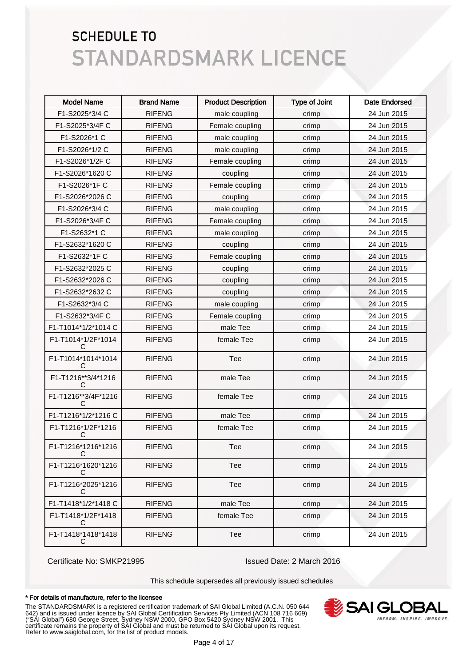| <b>Model Name</b>        | <b>Brand Name</b> | <b>Product Description</b> | <b>Type of Joint</b> | <b>Date Endorsed</b> |
|--------------------------|-------------------|----------------------------|----------------------|----------------------|
| F1-S2025*3/4 C           | <b>RIFENG</b>     | male coupling              | crimp                | 24 Jun 2015          |
| F1-S2025*3/4F C          | <b>RIFENG</b>     | Female coupling            | crimp                | 24 Jun 2015          |
| F1-S2026*1 C             | <b>RIFENG</b>     | male coupling              | crimp                | 24 Jun 2015          |
| F1-S2026*1/2 C           | <b>RIFENG</b>     | male coupling              | crimp                | 24 Jun 2015          |
| F1-S2026*1/2F C          | <b>RIFENG</b>     | Female coupling            | crimp                | 24 Jun 2015          |
| F1-S2026*1620 C          | <b>RIFENG</b>     | coupling                   | crimp                | 24 Jun 2015          |
| F1-S2026*1FC             | <b>RIFENG</b>     | Female coupling            | crimp                | 24 Jun 2015          |
| F1-S2026*2026 C          | <b>RIFENG</b>     | coupling                   | crimp                | 24 Jun 2015          |
| F1-S2026*3/4 C           | <b>RIFENG</b>     | male coupling              | crimp                | 24 Jun 2015          |
| F1-S2026*3/4F C          | <b>RIFENG</b>     | Female coupling            | crimp                | 24 Jun 2015          |
| F1-S2632*1 C             | <b>RIFENG</b>     | male coupling              | crimp                | 24 Jun 2015          |
| F1-S2632*1620 C          | <b>RIFENG</b>     | coupling                   | crimp                | 24 Jun 2015          |
| F1-S2632*1F C            | <b>RIFENG</b>     | Female coupling            | crimp                | 24 Jun 2015          |
| F1-S2632*2025 C          | <b>RIFENG</b>     | coupling                   | crimp                | 24 Jun 2015          |
| F1-S2632*2026 C          | <b>RIFENG</b>     | coupling                   | crimp                | 24 Jun 2015          |
| F1-S2632*2632 C          | <b>RIFENG</b>     | coupling                   | crimp                | 24 Jun 2015          |
| F1-S2632*3/4 C           | <b>RIFENG</b>     | male coupling              | crimp                | 24 Jun 2015          |
| F1-S2632*3/4F C          | <b>RIFENG</b>     | Female coupling            | crimp                | 24 Jun 2015          |
| F1-T1014*1/2*1014 C      | <b>RIFENG</b>     | male Tee                   | crimp                | 24 Jun 2015          |
| F1-T1014*1/2F*1014<br>C  | <b>RIFENG</b>     | female Tee                 | crimp                | 24 Jun 2015          |
| F1-T1014*1014*1014<br>C  | <b>RIFENG</b>     | Tee                        | crimp                | 24 Jun 2015          |
| F1-T1216**3/4*1216<br>C  | <b>RIFENG</b>     | male Tee                   | crimp                | 24 Jun 2015          |
| F1-T1216**3/4F*1216<br>C | <b>RIFENG</b>     | female Tee                 | crimp                | 24 Jun 2015          |
| F1-T1216*1/2*1216 C      | <b>RIFENG</b>     | male Tee                   | crimp                | 24 Jun 2015          |
| F1-T1216*1/2F*1216<br>С  | <b>RIFENG</b>     | female Tee                 | crimp                | 24 Jun 2015          |
| F1-T1216*1216*1216<br>C  | <b>RIFENG</b>     | Tee                        | crimp                | 24 Jun 2015          |
| F1-T1216*1620*1216<br>С  | <b>RIFENG</b>     | Tee                        | crimp                | 24 Jun 2015          |
| F1-T1216*2025*1216<br>С  | <b>RIFENG</b>     | Tee                        | crimp                | 24 Jun 2015          |
| F1-T1418*1/2*1418 C      | <b>RIFENG</b>     | male Tee                   | crimp                | 24 Jun 2015          |
| F1-T1418*1/2F*1418<br>С  | <b>RIFENG</b>     | female Tee                 | crimp                | 24 Jun 2015          |
| F1-T1418*1418*1418<br>С  | <b>RIFENG</b>     | Tee                        | crimp                | 24 Jun 2015          |

Certificate No: SMKP21995 Issued Date: 2 March 2016

This schedule supersedes all previously issued schedules

#### \* For details of manufacture, refer to the licensee

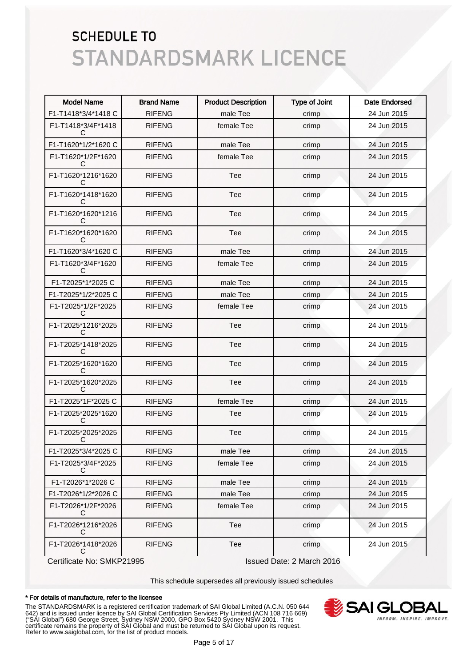| <b>Model Name</b>        | <b>Brand Name</b> | <b>Product Description</b> | <b>Type of Joint</b> | <b>Date Endorsed</b> |
|--------------------------|-------------------|----------------------------|----------------------|----------------------|
| F1-T1418*3/4*1418 C      | <b>RIFENG</b>     | male Tee                   | crimp                | 24 Jun 2015          |
| F1-T1418*3/4F*1418<br>C  | <b>RIFENG</b>     | female Tee                 | crimp                | 24 Jun 2015          |
| F1-T1620*1/2*1620 C      | <b>RIFENG</b>     | male Tee                   | crimp                | 24 Jun 2015          |
| F1-T1620*1/2F*1620<br>C  | <b>RIFENG</b>     | female Tee                 | crimp                | 24 Jun 2015          |
| F1-T1620*1216*1620<br>C  | <b>RIFENG</b>     | Tee                        | crimp                | 24 Jun 2015          |
| F1-T1620*1418*1620<br>C. | <b>RIFENG</b>     | Tee                        | crimp                | 24 Jun 2015          |
| F1-T1620*1620*1216<br>C. | <b>RIFENG</b>     | Tee                        | crimp                | 24 Jun 2015          |
| F1-T1620*1620*1620<br>C  | <b>RIFENG</b>     | Tee                        | crimp                | 24 Jun 2015          |
| F1-T1620*3/4*1620 C      | <b>RIFENG</b>     | male Tee                   | crimp                | 24 Jun 2015          |
| F1-T1620*3/4F*1620<br>€  | <b>RIFENG</b>     | female Tee                 | crimp                | 24 Jun 2015          |
| F1-T2025*1*2025 C        | <b>RIFENG</b>     | male Tee                   | crimp                | 24 Jun 2015          |
| F1-T2025*1/2*2025 C      | <b>RIFENG</b>     | male Tee                   | crimp                | 24 Jun 2015          |
| F1-T2025*1/2F*2025<br>C  | <b>RIFENG</b>     | female Tee                 | crimp                | 24 Jun 2015          |
| F1-T2025*1216*2025<br>C  | <b>RIFENG</b>     | Tee                        | crimp                | 24 Jun 2015          |
| F1-T2025*1418*2025<br>C  | <b>RIFENG</b>     | Tee                        | crimp                | 24 Jun 2015          |
| F1-T2025*1620*1620<br>C  | <b>RIFENG</b>     | Tee                        | crimp                | 24 Jun 2015          |
| F1-T2025*1620*2025<br>C  | <b>RIFENG</b>     | Tee                        | crimp                | 24 Jun 2015          |
| F1-T2025*1F*2025 C       | <b>RIFENG</b>     | female Tee                 | crimp                | 24 Jun 2015          |
| F1-T2025*2025*1620<br>C. | <b>RIFENG</b>     | Tee                        | crimp                | 24 Jun 2015          |
| F1-T2025*2025*2025<br>C  | <b>RIFENG</b>     | Tee                        | crimp                | 24 Jun 2015          |
| F1-T2025*3/4*2025 C      | <b>RIFENG</b>     | male Tee                   | crimp                | 24 Jun 2015          |
| F1-T2025*3/4F*2025<br>C  | <b>RIFENG</b>     | female Tee                 | crimp                | 24 Jun 2015          |
| F1-T2026*1*2026 C        | <b>RIFENG</b>     | male Tee                   | crimp                | 24 Jun 2015          |
| F1-T2026*1/2*2026 C      | <b>RIFENG</b>     | male Tee                   | crimp                | 24 Jun 2015          |
| F1-T2026*1/2F*2026<br>С  | <b>RIFENG</b>     | female Tee                 | crimp                | 24 Jun 2015          |
| F1-T2026*1216*2026<br>С  | <b>RIFENG</b>     | Tee                        | crimp                | 24 Jun 2015          |
| F1-T2026*1418*2026<br>C  | <b>RIFENG</b>     | Tee                        | crimp                | 24 Jun 2015          |

Certificate No: SMKP21995 Issued Date: 2 March 2016

This schedule supersedes all previously issued schedules

#### \* For details of manufacture, refer to the licensee

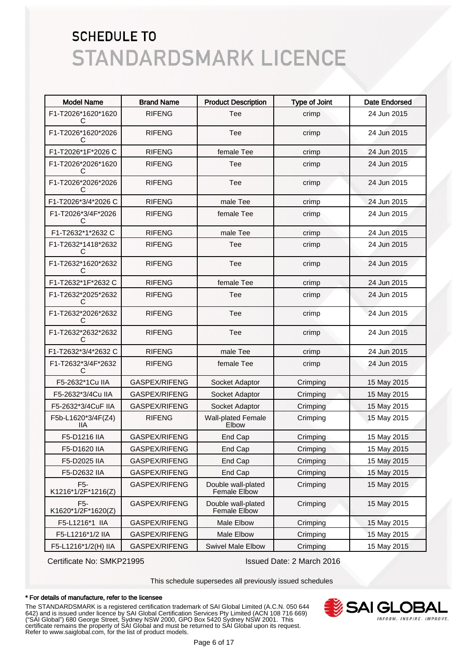| <b>Model Name</b>                      | <b>Brand Name</b> | <b>Product Description</b>                | <b>Type of Joint</b> | <b>Date Endorsed</b> |
|----------------------------------------|-------------------|-------------------------------------------|----------------------|----------------------|
| F1-T2026*1620*1620<br>С                | <b>RIFENG</b>     | Tee                                       | crimp                | 24 Jun 2015          |
| F1-T2026*1620*2026<br>С                | <b>RIFENG</b>     | Tee                                       | crimp                | 24 Jun 2015          |
| F1-T2026*1F*2026 C                     | <b>RIFENG</b>     | female Tee                                | crimp                | 24 Jun 2015          |
| F1-T2026*2026*1620<br>С                | <b>RIFENG</b>     | <b>Tee</b>                                | crimp                | 24 Jun 2015          |
| F1-T2026*2026*2026<br>С                | <b>RIFENG</b>     | Tee                                       | crimp                | 24 Jun 2015          |
| F1-T2026*3/4*2026 C                    | <b>RIFENG</b>     | male Tee                                  | crimp                | 24 Jun 2015          |
| F1-T2026*3/4F*2026<br>С                | <b>RIFENG</b>     | female Tee                                | crimp                | 24 Jun 2015          |
| F1-T2632*1*2632 C                      | <b>RIFENG</b>     | male Tee                                  | crimp                | 24 Jun 2015          |
| F1-T2632*1418*2632<br>С                | <b>RIFENG</b>     | Tee                                       | crimp                | 24 Jun 2015          |
| F1-T2632*1620*2632<br>С                | <b>RIFENG</b>     | Tee                                       | crimp                | 24 Jun 2015          |
| F1-T2632*1F*2632 C                     | <b>RIFENG</b>     | female Tee                                | crimp                | 24 Jun 2015          |
| F1-T2632*2025*2632<br>С                | <b>RIFENG</b>     | Tee                                       | crimp                | 24 Jun 2015          |
| F1-T2632*2026*2632<br>С                | <b>RIFENG</b>     | Tee                                       | crimp                | 24 Jun 2015          |
| F1-T2632*2632*2632<br>С                | <b>RIFENG</b>     | Tee                                       | crimp                | 24 Jun 2015          |
| F1-T2632*3/4*2632 C                    | <b>RIFENG</b>     | male Tee                                  | crimp                | 24 Jun 2015          |
| F1-T2632*3/4F*2632<br>С                | <b>RIFENG</b>     | female Tee                                | crimp                | 24 Jun 2015          |
| F5-2632*1Cu IIA                        | GASPEX/RIFENG     | Socket Adaptor                            | Crimping             | 15 May 2015          |
| F5-2632*3/4Cu IIA                      | GASPEX/RIFENG     | Socket Adaptor                            | Crimping             | 15 May 2015          |
| F5-2632*3/4CuF IIA                     | GASPEX/RIFENG     | Socket Adaptor                            | Crimping             | 15 May 2015          |
| F5b-L1620*3/4F(Z4)<br><b>IIA</b>       | <b>RIFENG</b>     | <b>Wall-plated Female</b><br>Elbow        | Crimping             | 15 May 2015          |
| F5-D1216 IIA                           | GASPEX/RIFENG     | End Cap                                   | Crimping             | 15 May 2015          |
| F5-D1620 IIA                           | GASPEX/RIFENG     | End Cap                                   | Crimping             | 15 May 2015          |
| F5-D2025 IIA                           | GASPEX/RIFENG     | End Cap                                   | Crimping             | 15 May 2015          |
| F5-D2632 IIA                           | GASPEX/RIFENG     | End Cap                                   | Crimping             | 15 May 2015          |
| F <sub>5</sub> -<br>K1216*1/2F*1216(Z) | GASPEX/RIFENG     | Double wall-plated<br>Female Elbow        | Crimping             | 15 May 2015          |
| F <sub>5</sub> -<br>K1620*1/2F*1620(Z) | GASPEX/RIFENG     | Double wall-plated<br><b>Female Elbow</b> | Crimping             | 15 May 2015          |
| F5-L1216*1 IIA                         | GASPEX/RIFENG     | Male Elbow                                | Crimping             | 15 May 2015          |
| F5-L1216*1/2 IIA                       | GASPEX/RIFENG     | Male Elbow                                | Crimping             | 15 May 2015          |
| F5-L1216*1/2(H) IIA                    | GASPEX/RIFENG     | <b>Swivel Male Elbow</b>                  | Crimping             | 15 May 2015          |

Certificate No: SMKP21995 Issued Date: 2 March 2016

This schedule supersedes all previously issued schedules

#### \* For details of manufacture, refer to the licensee

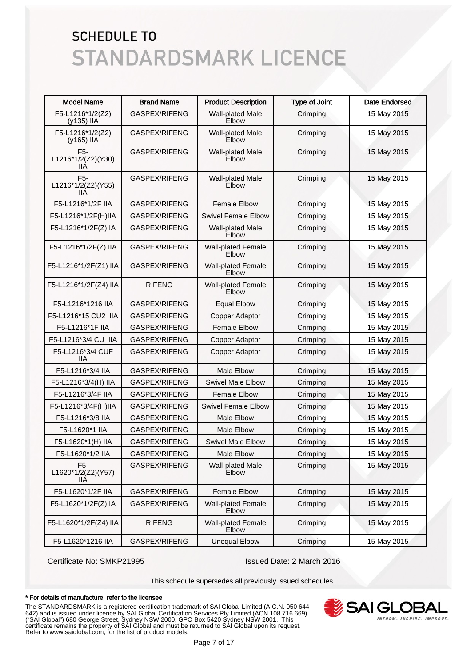| <b>Model Name</b>                             | <b>Brand Name</b>    | <b>Product Description</b>         | <b>Type of Joint</b> | <b>Date Endorsed</b> |
|-----------------------------------------------|----------------------|------------------------------------|----------------------|----------------------|
| F5-L1216*1/2(Z2)<br>(y135) IIA                | GASPEX/RIFENG        | Wall-plated Male<br>Elbow          | Crimping             | 15 May 2015          |
| F5-L1216*1/2(Z2)<br>(y165) IIA                | GASPEX/RIFENG        | Wall-plated Male<br>Elbow          | Crimping             | 15 May 2015          |
| F <sub>5</sub> -<br>L1216*1/2(Z2)(Y30)<br>ШA  | <b>GASPEX/RIFENG</b> | Wall-plated Male<br>Elbow          | Crimping             | 15 May 2015          |
| F <sub>5</sub> -<br>L1216*1/2(Z2)(Y55)<br>IIА | GASPEX/RIFENG        | Wall-plated Male<br>Elbow          | Crimping             | 15 May 2015          |
| F5-L1216*1/2F IIA                             | GASPEX/RIFENG        | <b>Female Elbow</b>                | Crimping             | 15 May 2015          |
| F5-L1216*1/2F(H)IIA                           | GASPEX/RIFENG        | <b>Swivel Female Elbow</b>         | Crimping             | 15 May 2015          |
| F5-L1216*1/2F(Z) IA                           | GASPEX/RIFENG        | Wall-plated Male<br>Elbow          | Crimping             | 15 May 2015          |
| F5-L1216*1/2F(Z) IIA                          | GASPEX/RIFENG        | <b>Wall-plated Female</b><br>Elbow | Crimping             | 15 May 2015          |
| F5-L1216*1/2F(Z1) IIA                         | GASPEX/RIFENG        | <b>Wall-plated Female</b><br>Elbow | Crimping             | 15 May 2015          |
| F5-L1216*1/2F(Z4) IIA                         | <b>RIFENG</b>        | <b>Wall-plated Female</b><br>Elbow | Crimping             | 15 May 2015          |
| F5-L1216*1216 IIA                             | GASPEX/RIFENG        | <b>Equal Elbow</b>                 | Crimping             | 15 May 2015          |
| F5-L1216*15 CU2 IIA                           | GASPEX/RIFENG        | Copper Adaptor                     | Crimping             | 15 May 2015          |
| F5-L1216*1F IIA                               | GASPEX/RIFENG        | <b>Female Elbow</b>                | Crimping             | 15 May 2015          |
| F5-L1216*3/4 CU IIA                           | GASPEX/RIFENG        | Copper Adaptor                     | Crimping             | 15 May 2015          |
| F5-L1216*3/4 CUF<br>IIА                       | GASPEX/RIFENG        | Copper Adaptor                     | Crimping             | 15 May 2015          |
| F5-L1216*3/4 IIA                              | GASPEX/RIFENG        | <b>Male Elbow</b>                  | Crimping             | 15 May 2015          |
| F5-L1216*3/4(H) IIA                           | GASPEX/RIFENG        | Swivel Male Elbow                  | Crimping             | 15 May 2015          |
| F5-L1216*3/4F IIA                             | GASPEX/RIFENG        | <b>Female Elbow</b>                | Crimping             | 15 May 2015          |
| F5-L1216*3/4F(H)IIA                           | GASPEX/RIFENG        | <b>Swivel Female Elbow</b>         | Crimping             | 15 May 2015          |
| F5-L1216*3/8 IIA                              | GASPEX/RIFENG        | <b>Male Elbow</b>                  | Crimping             | 15 May 2015          |
| F5-L1620*1 IIA                                | GASPEX/RIFENG        | Male Elbow                         | Crimping             | 15 May 2015          |
| F5-L1620*1(H) IIA                             | GASPEX/RIFENG        | <b>Swivel Male Elbow</b>           | Crimping             | 15 May 2015          |
| F5-L1620*1/2 IIA                              | GASPEX/RIFENG        | Male Elbow                         | Crimping             | 15 May 2015          |
| F <sub>5</sub> -<br>L1620*1/2(Z2)(Y57)<br>IIА | GASPEX/RIFENG        | Wall-plated Male<br>Elbow          | Crimping             | 15 May 2015          |
| F5-L1620*1/2F IIA                             | GASPEX/RIFENG        | <b>Female Elbow</b>                | Crimping             | 15 May 2015          |
| F5-L1620*1/2F(Z) IA                           | GASPEX/RIFENG        | <b>Wall-plated Female</b><br>Elbow | Crimping             | 15 May 2015          |
| F5-L1620*1/2F(Z4) IIA                         | <b>RIFENG</b>        | <b>Wall-plated Female</b><br>Elbow | Crimping             | 15 May 2015          |
| F5-L1620*1216 IIA                             | GASPEX/RIFENG        | <b>Unequal Elbow</b>               | Crimping             | 15 May 2015          |

Certificate No: SMKP21995 Issued Date: 2 March 2016

This schedule supersedes all previously issued schedules

#### \* For details of manufacture, refer to the licensee

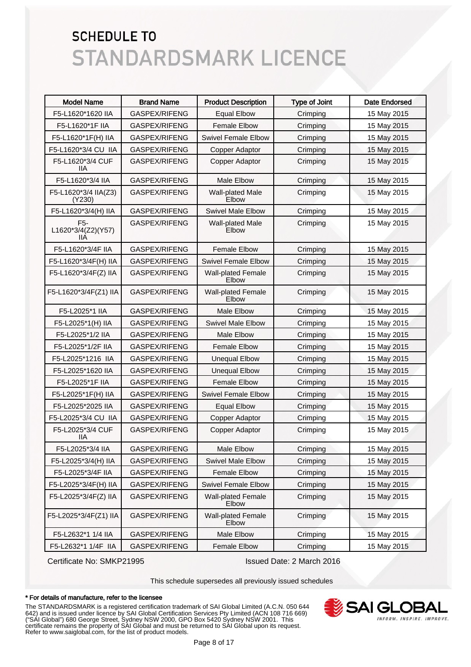| <b>Model Name</b>                             | <b>Brand Name</b> | <b>Product Description</b>         | <b>Type of Joint</b> | <b>Date Endorsed</b> |
|-----------------------------------------------|-------------------|------------------------------------|----------------------|----------------------|
| F5-L1620*1620 IIA                             | GASPEX/RIFENG     | <b>Equal Elbow</b>                 | Crimping             | 15 May 2015          |
| F5-L1620*1F IIA                               | GASPEX/RIFENG     | <b>Female Elbow</b>                | Crimping             | 15 May 2015          |
| F5-L1620*1F(H) IIA                            | GASPEX/RIFENG     | <b>Swivel Female Elbow</b>         | Crimping             | 15 May 2015          |
| F5-L1620*3/4 CU IIA                           | GASPEX/RIFENG     | Copper Adaptor                     | Crimping             | 15 May 2015          |
| F5-L1620*3/4 CUF<br>llА                       | GASPEX/RIFENG     | Copper Adaptor                     | Crimping             | 15 May 2015          |
| F5-L1620*3/4 IIA                              | GASPEX/RIFENG     | <b>Male Elbow</b>                  | Crimping             | 15 May 2015          |
| F5-L1620*3/4 IIA(Z3)<br>(Y230)                | GASPEX/RIFENG     | Wall-plated Male<br>Elbow          | Crimping             | 15 May 2015          |
| F5-L1620*3/4(H) IIA                           | GASPEX/RIFENG     | <b>Swivel Male Elbow</b>           | Crimping             | 15 May 2015          |
| F <sub>5</sub> -<br>L1620*3/4(Z2)(Y57)<br>IIА | GASPEX/RIFENG     | Wall-plated Male<br>Elbow          | Crimping             | 15 May 2015          |
| F5-L1620*3/4F IIA                             | GASPEX/RIFENG     | <b>Female Elbow</b>                | Crimping             | 15 May 2015          |
| F5-L1620*3/4F(H) IIA                          | GASPEX/RIFENG     | <b>Swivel Female Elbow</b>         | Crimping             | 15 May 2015          |
| F5-L1620*3/4F(Z) IIA                          | GASPEX/RIFENG     | <b>Wall-plated Female</b><br>Elbow | Crimping             | 15 May 2015          |
| F5-L1620*3/4F(Z1) IIA                         | GASPEX/RIFENG     | <b>Wall-plated Female</b><br>Elbow | Crimping             | 15 May 2015          |
| F5-L2025*1 IIA                                | GASPEX/RIFENG     | <b>Male Elbow</b>                  | Crimping             | 15 May 2015          |
| F5-L2025*1(H) IIA                             | GASPEX/RIFENG     | <b>Swivel Male Elbow</b>           | Crimping             | 15 May 2015          |
| F5-L2025*1/2 IIA                              | GASPEX/RIFENG     | <b>Male Elbow</b>                  | Crimping             | 15 May 2015          |
| F5-L2025*1/2F IIA                             | GASPEX/RIFENG     | <b>Female Elbow</b>                | Crimping             | 15 May 2015          |
| F5-L2025*1216 IIA                             | GASPEX/RIFENG     | <b>Unequal Elbow</b>               | Crimping             | 15 May 2015          |
| F5-L2025*1620 IIA                             | GASPEX/RIFENG     | <b>Unequal Elbow</b>               | Crimping             | 15 May 2015          |
| F5-L2025*1F IIA                               | GASPEX/RIFENG     | <b>Female Elbow</b>                | Crimping             | 15 May 2015          |
| F5-L2025*1F(H) IIA                            | GASPEX/RIFENG     | <b>Swivel Female Elbow</b>         | Crimping             | 15 May 2015          |
| F5-L2025*2025 IIA                             | GASPEX/RIFENG     | <b>Equal Elbow</b>                 | Crimping             | 15 May 2015          |
| F5-L2025*3/4 CU IIA                           | GASPEX/RIFENG     | Copper Adaptor                     | Crimping             | 15 May 2015          |
| F5-L2025*3/4 CUF<br><b>IIA</b>                | GASPEX/RIFENG     | Copper Adaptor                     | Crimping             | 15 May 2015          |
| F5-L2025*3/4 IIA                              | GASPEX/RIFENG     | Male Elbow                         | Crimping             | 15 May 2015          |
| F5-L2025*3/4(H) IIA                           | GASPEX/RIFENG     | <b>Swivel Male Elbow</b>           | Crimping             | 15 May 2015          |
| F5-L2025*3/4F IIA                             | GASPEX/RIFENG     | <b>Female Elbow</b>                | Crimping             | 15 May 2015          |
| F5-L2025*3/4F(H) IIA                          | GASPEX/RIFENG     | <b>Swivel Female Elbow</b>         | Crimping             | 15 May 2015          |
| F5-L2025*3/4F(Z) IIA                          | GASPEX/RIFENG     | <b>Wall-plated Female</b><br>Elbow | Crimping             | 15 May 2015          |
| F5-L2025*3/4F(Z1) IIA                         | GASPEX/RIFENG     | Wall-plated Female<br>Elbow        | Crimping             | 15 May 2015          |
| F5-L2632*1 1/4 IIA                            | GASPEX/RIFENG     | Male Elbow                         | Crimping             | 15 May 2015          |
| F5-L2632*1 1/4F IIA                           | GASPEX/RIFENG     | Female Elbow                       | Crimping             | 15 May 2015          |

Certificate No: SMKP21995 Issued Date: 2 March 2016

This schedule supersedes all previously issued schedules

#### \* For details of manufacture, refer to the licensee

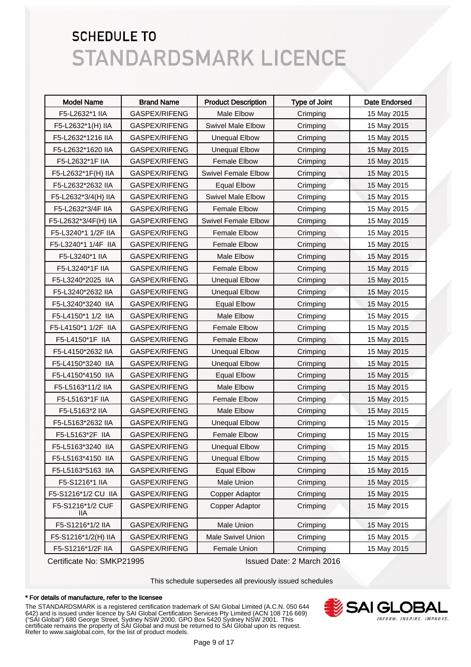| <b>Model Name</b>        | <b>Brand Name</b>    | <b>Product Description</b> | <b>Type of Joint</b> | <b>Date Endorsed</b> |
|--------------------------|----------------------|----------------------------|----------------------|----------------------|
| F5-L2632*1 IIA           | GASPEX/RIFENG        | Male Elbow                 | Crimping             | 15 May 2015          |
| F5-L2632*1(H) IIA        | GASPEX/RIFENG        | <b>Swivel Male Elbow</b>   | Crimping             | 15 May 2015          |
| F5-L2632*1216 IIA        | <b>GASPEX/RIFENG</b> | <b>Unequal Elbow</b>       | Crimping             | 15 May 2015          |
| F5-L2632*1620 IIA        | GASPEX/RIFENG        | <b>Unequal Elbow</b>       | Crimping             | 15 May 2015          |
| F5-L2632*1F IIA          | GASPEX/RIFENG        | <b>Female Elbow</b>        | Crimping             | 15 May 2015          |
| F5-L2632*1F(H) IIA       | GASPEX/RIFENG        | <b>Swivel Female Elbow</b> | Crimping             | 15 May 2015          |
| F5-L2632*2632 IIA        | GASPEX/RIFENG        | <b>Equal Elbow</b>         | Crimping             | 15 May 2015          |
| F5-L2632*3/4(H) IIA      | GASPEX/RIFENG        | <b>Swivel Male Elbow</b>   | Crimping             | 15 May 2015          |
| F5-L2632*3/4F IIA        | GASPEX/RIFENG        | <b>Female Elbow</b>        | Crimping             | 15 May 2015          |
| F5-L2632*3/4F(H) IIA     | GASPEX/RIFENG        | <b>Swivel Female Elbow</b> | Crimping             | 15 May 2015          |
| F5-L3240*1 1/2F IIA      | GASPEX/RIFENG        | <b>Female Elbow</b>        | Crimping             | 15 May 2015          |
| F5-L3240*1 1/4F IIA      | GASPEX/RIFENG        | <b>Female Elbow</b>        | Crimping             | 15 May 2015          |
| F5-L3240*1 IIA           | GASPEX/RIFENG        | Male Elbow                 | Crimping             | 15 May 2015          |
| F5-L3240*1F IIA          | GASPEX/RIFENG        | <b>Female Elbow</b>        | Crimping             | 15 May 2015          |
| F5-L3240*2025 IIA        | GASPEX/RIFENG        | <b>Unequal Elbow</b>       | Crimping             | 15 May 2015          |
| F5-L3240*2632 IIA        | GASPEX/RIFENG        | <b>Unequal Elbow</b>       | Crimping             | 15 May 2015          |
| F5-L3240*3240 IIA        | GASPEX/RIFENG        | <b>Equal Elbow</b>         | Crimping             | 15 May 2015          |
| F5-L4150*1 1/2 IIA       | GASPEX/RIFENG        | Male Elbow                 | Crimping             | 15 May 2015          |
| F5-L4150*1 1/2F IIA      | GASPEX/RIFENG        | <b>Female Elbow</b>        | Crimping             | 15 May 2015          |
| F5-L4150*1F IIA          | GASPEX/RIFENG        | <b>Female Elbow</b>        | Crimping             | 15 May 2015          |
| F5-L4150*2632 IIA        | GASPEX/RIFENG        | Unequal Elbow              | Crimping             | 15 May 2015          |
| F5-L4150*3240 IIA        | GASPEX/RIFENG        | <b>Unequal Elbow</b>       | Crimping             | 15 May 2015          |
| F5-L4150*4150 IIA        | GASPEX/RIFENG        | <b>Equal Elbow</b>         | Crimping             | 15 May 2015          |
| F5-L5163*11/2 IIA        | GASPEX/RIFENG        | <b>Male Elbow</b>          | Crimping             | 15 May 2015          |
| F5-L5163*1F IIA          | GASPEX/RIFENG        | <b>Female Elbow</b>        | Crimping             | 15 May 2015          |
| F5-L5163*2 IIA           | <b>GASPEX/RIFENG</b> | Male Elbow                 | Crimping             | 15 May 2015          |
| F5-L5163*2632 IIA        | GASPEX/RIFENG        | <b>Unequal Elbow</b>       | Crimping             | 15 May 2015          |
| F5-L5163*2F IIA          | GASPEX/RIFENG        | <b>Female Elbow</b>        | Crimping             | 15 May 2015          |
| F5-L5163*3240 IIA        | GASPEX/RIFENG        | Unequal Elbow              | Crimping             | 15 May 2015          |
| F5-L5163*4150 IIA        | GASPEX/RIFENG        | <b>Unequal Elbow</b>       | Crimping             | 15 May 2015          |
| F5-L5163*5163 IIA        | GASPEX/RIFENG        | <b>Equal Elbow</b>         | Crimping             | 15 May 2015          |
| F5-S1216*1 IIA           | GASPEX/RIFENG        | Male Union                 | Crimping             | 15 May 2015          |
| F5-S1216*1/2 CU IIA      | GASPEX/RIFENG        | Copper Adaptor             | Crimping             | 15 May 2015          |
| F5-S1216*1/2 CUF<br>IIA. | <b>GASPEX/RIFENG</b> | Copper Adaptor             | Crimping             | 15 May 2015          |
| F5-S1216*1/2 IIA         | GASPEX/RIFENG        | Male Union                 | Crimping             | 15 May 2015          |
| F5-S1216*1/2(H) IIA      | GASPEX/RIFENG        | Male Swivel Union          | Crimping             | 15 May 2015          |
| F5-S1216*1/2F IIA        | GASPEX/RIFENG        | Female Union               | Crimping             | 15 May 2015          |

Certificate No: SMKP21995 Issued Date: 2 March 2016

This schedule supersedes all previously issued schedules

#### \* For details of manufacture, refer to the licensee

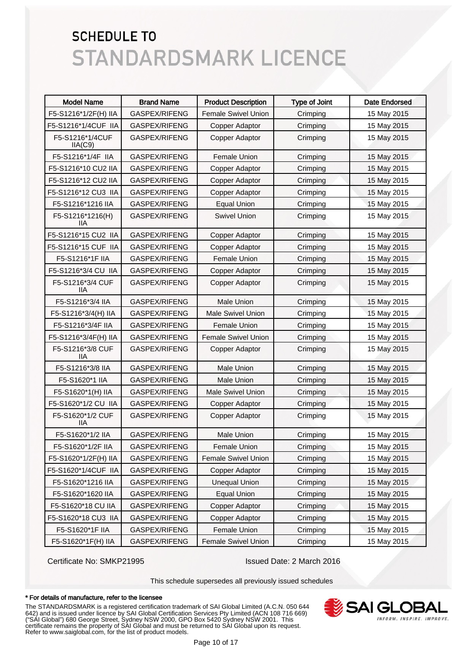| <b>Model Name</b>          | <b>Brand Name</b> | <b>Product Description</b> | <b>Type of Joint</b> | <b>Date Endorsed</b> |
|----------------------------|-------------------|----------------------------|----------------------|----------------------|
| F5-S1216*1/2F(H) IIA       | GASPEX/RIFENG     | <b>Female Swivel Union</b> | Crimping             | 15 May 2015          |
| F5-S1216*1/4CUF IIA        | GASPEX/RIFENG     | Copper Adaptor             | Crimping             | 15 May 2015          |
| F5-S1216*1/4CUF<br>IIA(C9) | GASPEX/RIFENG     | Copper Adaptor             | Crimping             | 15 May 2015          |
| F5-S1216*1/4F IIA          | GASPEX/RIFENG     | <b>Female Union</b>        | Crimping             | 15 May 2015          |
| F5-S1216*10 CU2 IIA        | GASPEX/RIFENG     | Copper Adaptor             | Crimping             | 15 May 2015          |
| F5-S1216*12 CU2 IIA        | GASPEX/RIFENG     | Copper Adaptor             | Crimping             | 15 May 2015          |
| F5-S1216*12 CU3 IIA        | GASPEX/RIFENG     | Copper Adaptor             | Crimping             | 15 May 2015          |
| F5-S1216*1216 IIA          | GASPEX/RIFENG     | <b>Equal Union</b>         | Crimping             | 15 May 2015          |
| F5-S1216*1216(H)<br>11A    | GASPEX/RIFENG     | <b>Swivel Union</b>        | Crimping             | 15 May 2015          |
| F5-S1216*15 CU2 IIA        | GASPEX/RIFENG     | Copper Adaptor             | Crimping             | 15 May 2015          |
| F5-S1216*15 CUF IIA        | GASPEX/RIFENG     | <b>Copper Adaptor</b>      | Crimping             | 15 May 2015          |
| F5-S1216*1F IIA            | GASPEX/RIFENG     | Female Union               | Crimping             | 15 May 2015          |
| F5-S1216*3/4 CU IIA        | GASPEX/RIFENG     | Copper Adaptor             | Crimping             | 15 May 2015          |
| F5-S1216*3/4 CUF<br>11A    | GASPEX/RIFENG     | <b>Copper Adaptor</b>      | Crimping             | 15 May 2015          |
| F5-S1216*3/4 IIA           | GASPEX/RIFENG     | Male Union                 | Crimping             | 15 May 2015          |
| F5-S1216*3/4(H) IIA        | GASPEX/RIFENG     | <b>Male Swivel Union</b>   | Crimping             | 15 May 2015          |
| F5-S1216*3/4F IIA          | GASPEX/RIFENG     | Female Union               | Crimping             | 15 May 2015          |
| F5-S1216*3/4F(H) IIA       | GASPEX/RIFENG     | Female Swivel Union        | Crimping             | 15 May 2015          |
| F5-S1216*3/8 CUF<br>ШA     | GASPEX/RIFENG     | Copper Adaptor             | Crimping             | 15 May 2015          |
| F5-S1216*3/8 IIA           | GASPEX/RIFENG     | <b>Male Union</b>          | Crimping             | 15 May 2015          |
| F5-S1620*1 IIA             | GASPEX/RIFENG     | <b>Male Union</b>          | Crimping             | 15 May 2015          |
| F5-S1620*1(H) IIA          | GASPEX/RIFENG     | <b>Male Swivel Union</b>   | Crimping             | 15 May 2015          |
| F5-S1620*1/2 CU IIA        | GASPEX/RIFENG     | Copper Adaptor             | Crimping             | 15 May 2015          |
| F5-S1620*1/2 CUF<br>ШA     | GASPEX/RIFENG     | Copper Adaptor             | Crimping             | 15 May 2015          |
| F5-S1620*1/2 IIA           | GASPEX/RIFENG     | Male Union                 | Crimping             | 15 May 2015          |
| F5-S1620*1/2F IIA          | GASPEX/RIFENG     | Female Union               | Crimping             | 15 May 2015          |
| F5-S1620*1/2F(H) IIA       | GASPEX/RIFENG     | <b>Female Swivel Union</b> | Crimping             | 15 May 2015          |
| F5-S1620*1/4CUF IIA        | GASPEX/RIFENG     | Copper Adaptor             | Crimping             | 15 May 2015          |
| F5-S1620*1216 IIA          | GASPEX/RIFENG     | <b>Unequal Union</b>       | Crimping             | 15 May 2015          |
| F5-S1620*1620 IIA          | GASPEX/RIFENG     | <b>Equal Union</b>         | Crimping             | 15 May 2015          |
| F5-S1620*18 CU IIA         | GASPEX/RIFENG     | Copper Adaptor             | Crimping             | 15 May 2015          |
| F5-S1620*18 CU3 IIA        | GASPEX/RIFENG     | Copper Adaptor             | Crimping             | 15 May 2015          |
| F5-S1620*1F IIA            | GASPEX/RIFENG     | Female Union               | Crimping             | 15 May 2015          |
| F5-S1620*1F(H) IIA         | GASPEX/RIFENG     | Female Swivel Union        | Crimping             | 15 May 2015          |

Certificate No: SMKP21995 Issued Date: 2 March 2016

This schedule supersedes all previously issued schedules

#### \* For details of manufacture, refer to the licensee

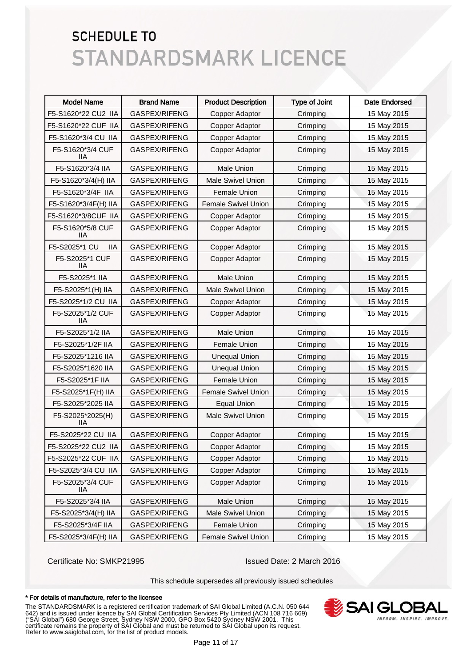| <b>Model Name</b>              | <b>Brand Name</b> | <b>Product Description</b> | <b>Type of Joint</b> | <b>Date Endorsed</b> |
|--------------------------------|-------------------|----------------------------|----------------------|----------------------|
| F5-S1620*22 CU2 IIA            | GASPEX/RIFENG     | Copper Adaptor             | Crimping             | 15 May 2015          |
| F5-S1620*22 CUF IIA            | GASPEX/RIFENG     | Copper Adaptor             | Crimping             | 15 May 2015          |
| F5-S1620*3/4 CU IIA            | GASPEX/RIFENG     | Copper Adaptor             | Crimping             | 15 May 2015          |
| F5-S1620*3/4 CUF<br>IIА        | GASPEX/RIFENG     | Copper Adaptor             | Crimping             | 15 May 2015          |
| F5-S1620*3/4 IIA               | GASPEX/RIFENG     | <b>Male Union</b>          | Crimping             | 15 May 2015          |
| F5-S1620*3/4(H) IIA            | GASPEX/RIFENG     | <b>Male Swivel Union</b>   | Crimping             | 15 May 2015          |
| F5-S1620*3/4F IIA              | GASPEX/RIFENG     | <b>Female Union</b>        | Crimping             | 15 May 2015          |
| F5-S1620*3/4F(H) IIA           | GASPEX/RIFENG     | <b>Female Swivel Union</b> | Crimping             | 15 May 2015          |
| F5-S1620*3/8CUF IIA            | GASPEX/RIFENG     | Copper Adaptor             | Crimping             | 15 May 2015          |
| F5-S1620*5/8 CUF<br>11A        | GASPEX/RIFENG     | Copper Adaptor             | Crimping             | 15 May 2015          |
| F5-S2025*1 CU<br>llА           | GASPEX/RIFENG     | Copper Adaptor             | Crimping             | 15 May 2015          |
| F5-S2025*1 CUF<br>11A          | GASPEX/RIFENG     | Copper Adaptor             | Crimping             | 15 May 2015          |
| F5-S2025*1 IIA                 | GASPEX/RIFENG     | Male Union                 | Crimping             | 15 May 2015          |
| F5-S2025*1(H) IIA              | GASPEX/RIFENG     | <b>Male Swivel Union</b>   | Crimping             | 15 May 2015          |
| F5-S2025*1/2 CU IIA            | GASPEX/RIFENG     | Copper Adaptor             | Crimping             | 15 May 2015          |
| F5-S2025*1/2 CUF<br>llА        | GASPEX/RIFENG     | Copper Adaptor             | Crimping             | 15 May 2015          |
| F5-S2025*1/2 IIA               | GASPEX/RIFENG     | <b>Male Union</b>          | Crimping             | 15 May 2015          |
| F5-S2025*1/2F IIA              | GASPEX/RIFENG     | <b>Female Union</b>        | Crimping             | 15 May 2015          |
| F5-S2025*1216 IIA              | GASPEX/RIFENG     | <b>Unequal Union</b>       | Crimping             | 15 May 2015          |
| F5-S2025*1620 IIA              | GASPEX/RIFENG     | <b>Unequal Union</b>       | Crimping             | 15 May 2015          |
| F5-S2025*1F IIA                | GASPEX/RIFENG     | Female Union               | Crimping             | 15 May 2015          |
| F5-S2025*1F(H) IIA             | GASPEX/RIFENG     | <b>Female Swivel Union</b> | Crimping             | 15 May 2015          |
| F5-S2025*2025 IIA              | GASPEX/RIFENG     | <b>Equal Union</b>         | Crimping             | 15 May 2015          |
| F5-S2025*2025(H)<br><b>IIA</b> | GASPEX/RIFENG     | <b>Male Swivel Union</b>   | Crimping             | 15 May 2015          |
| F5-S2025*22 CU IIA             | GASPEX/RIFENG     | Copper Adaptor             | Crimping             | 15 May 2015          |
| F5-S2025*22 CU2 IIA            | GASPEX/RIFENG     | Copper Adaptor             | Crimping             | 15 May 2015          |
| F5-S2025*22 CUF IIA            | GASPEX/RIFENG     | Copper Adaptor             | Crimping             | 15 May 2015          |
| F5-S2025*3/4 CU IIA            | GASPEX/RIFENG     | Copper Adaptor             | Crimping             | 15 May 2015          |
| F5-S2025*3/4 CUF<br>IIA.       | GASPEX/RIFENG     | Copper Adaptor             | Crimping             | 15 May 2015          |
| F5-S2025*3/4 IIA               | GASPEX/RIFENG     | <b>Male Union</b>          | Crimping             | 15 May 2015          |
| F5-S2025*3/4(H) IIA            | GASPEX/RIFENG     | <b>Male Swivel Union</b>   | Crimping             | 15 May 2015          |
| F5-S2025*3/4F IIA              | GASPEX/RIFENG     | Female Union               | Crimping             | 15 May 2015          |
| F5-S2025*3/4F(H) IIA           | GASPEX/RIFENG     | Female Swivel Union        | Crimping             | 15 May 2015          |

Certificate No: SMKP21995 Issued Date: 2 March 2016

This schedule supersedes all previously issued schedules

#### \* For details of manufacture, refer to the licensee

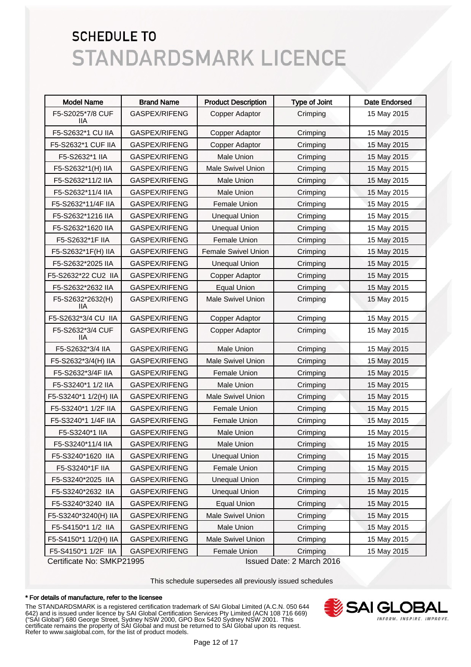| <b>Model Name</b>       | <b>Brand Name</b>    | <b>Product Description</b> | <b>Type of Joint</b> | <b>Date Endorsed</b> |
|-------------------------|----------------------|----------------------------|----------------------|----------------------|
| F5-S2025*7/8 CUF<br>liа | GASPEX/RIFENG        | Copper Adaptor             | Crimping             | 15 May 2015          |
| F5-S2632*1 CU IIA       | GASPEX/RIFENG        | Copper Adaptor             | Crimping             | 15 May 2015          |
| F5-S2632*1 CUF IIA      | GASPEX/RIFENG        | Copper Adaptor             | Crimping             | 15 May 2015          |
| F5-S2632*1 IIA          | GASPEX/RIFENG        | Male Union                 | Crimping             | 15 May 2015          |
| F5-S2632*1(H) IIA       | GASPEX/RIFENG        | <b>Male Swivel Union</b>   | Crimping             | 15 May 2015          |
| F5-S2632*11/2 IIA       | GASPEX/RIFENG        | <b>Male Union</b>          | Crimping             | 15 May 2015          |
| F5-S2632*11/4 IIA       | GASPEX/RIFENG        | <b>Male Union</b>          | Crimping             | 15 May 2015          |
| F5-S2632*11/4F IIA      | GASPEX/RIFENG        | Female Union               | Crimping             | 15 May 2015          |
| F5-S2632*1216 IIA       | GASPEX/RIFENG        | <b>Unequal Union</b>       | Crimping             | 15 May 2015          |
| F5-S2632*1620 IIA       | GASPEX/RIFENG        | <b>Unequal Union</b>       | Crimping             | 15 May 2015          |
| F5-S2632*1F IIA         | GASPEX/RIFENG        | Female Union               | Crimping             | 15 May 2015          |
| F5-S2632*1F(H) IIA      | GASPEX/RIFENG        | <b>Female Swivel Union</b> | Crimping             | 15 May 2015          |
| F5-S2632*2025 IIA       | GASPEX/RIFENG        | <b>Unequal Union</b>       | Crimping             | 15 May 2015          |
| F5-S2632*22 CU2 IIA     | GASPEX/RIFENG        | Copper Adaptor             | Crimping             | 15 May 2015          |
| F5-S2632*2632 IIA       | GASPEX/RIFENG        | <b>Equal Union</b>         | Crimping             | 15 May 2015          |
| F5-S2632*2632(H)<br>IIА | GASPEX/RIFENG        | <b>Male Swivel Union</b>   | Crimping             | 15 May 2015          |
| F5-S2632*3/4 CU IIA     | <b>GASPEX/RIFENG</b> | Copper Adaptor             | Crimping             | 15 May 2015          |
| F5-S2632*3/4 CUF<br>IIА | GASPEX/RIFENG        | Copper Adaptor             | Crimping             | 15 May 2015          |
| F5-S2632*3/4 IIA        | GASPEX/RIFENG        | <b>Male Union</b>          | Crimping             | 15 May 2015          |
| F5-S2632*3/4(H) IIA     | GASPEX/RIFENG        | <b>Male Swivel Union</b>   | Crimping             | 15 May 2015          |
| F5-S2632*3/4F IIA       | GASPEX/RIFENG        | Female Union               | Crimping             | 15 May 2015          |
| F5-S3240*1 1/2 IIA      | GASPEX/RIFENG        | <b>Male Union</b>          | Crimping             | 15 May 2015          |
| F5-S3240*1 1/2(H) IIA   | GASPEX/RIFENG        | <b>Male Swivel Union</b>   | Crimping             | 15 May 2015          |
| F5-S3240*1 1/2F IIA     | GASPEX/RIFENG        | <b>Female Union</b>        | Crimping             | 15 May 2015          |
| F5-S3240*1 1/4F IIA     | GASPEX/RIFENG        | Female Union               | Crimping             | 15 May 2015          |
| F5-S3240*1 IIA          | GASPEX/RIFENG        | <b>Male Union</b>          | Crimping             | 15 May 2015          |
| F5-S3240*11/4 IIA       | GASPEX/RIFENG        | <b>Male Union</b>          | Crimping             | 15 May 2015          |
| F5-S3240*1620 IIA       | GASPEX/RIFENG        | <b>Unequal Union</b>       | Crimping             | 15 May 2015          |
| F5-S3240*1F IIA         | GASPEX/RIFENG        | Female Union               | Crimping             | 15 May 2015          |
| F5-S3240*2025 IIA       | GASPEX/RIFENG        | <b>Unequal Union</b>       | Crimping             | 15 May 2015          |
| F5-S3240*2632 IIA       | GASPEX/RIFENG        | <b>Unequal Union</b>       | Crimping             | 15 May 2015          |
| F5-S3240*3240 IIA       | GASPEX/RIFENG        | <b>Equal Union</b>         | Crimping             | 15 May 2015          |
| F5-S3240*3240(H) IIA    | GASPEX/RIFENG        | Male Swivel Union          | Crimping             | 15 May 2015          |
| F5-S4150*1 1/2 IIA      | GASPEX/RIFENG        | Male Union                 | Crimping             | 15 May 2015          |
| F5-S4150*1 1/2(H) IIA   | GASPEX/RIFENG        | Male Swivel Union          | Crimping             | 15 May 2015          |
| F5-S4150*1 1/2F IIA     | GASPEX/RIFENG        | Female Union               | Crimping             | 15 May 2015          |

Certificate No: SMKP21995 Issued Date: 2 March 2016

This schedule supersedes all previously issued schedules

#### \* For details of manufacture, refer to the licensee

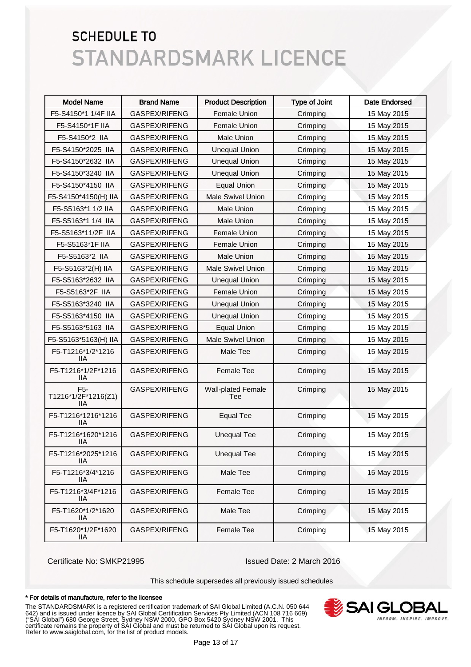| <b>Model Name</b>                 | <b>Brand Name</b> | <b>Product Description</b>       | <b>Type of Joint</b> | <b>Date Endorsed</b> |
|-----------------------------------|-------------------|----------------------------------|----------------------|----------------------|
| F5-S4150*1 1/4F IIA               | GASPEX/RIFENG     | Female Union                     | Crimping             | 15 May 2015          |
| F5-S4150*1F IIA                   | GASPEX/RIFENG     | Female Union                     | Crimping             | 15 May 2015          |
| F5-S4150*2 IIA                    | GASPEX/RIFENG     | <b>Male Union</b>                | Crimping             | 15 May 2015          |
| F5-S4150*2025 IIA                 | GASPEX/RIFENG     | <b>Unequal Union</b>             | Crimping             | 15 May 2015          |
| F5-S4150*2632 IIA                 | GASPEX/RIFENG     | <b>Unequal Union</b>             | Crimping             | 15 May 2015          |
| F5-S4150*3240 IIA                 | GASPEX/RIFENG     | <b>Unequal Union</b>             | Crimping             | 15 May 2015          |
| F5-S4150*4150 IIA                 | GASPEX/RIFENG     | <b>Equal Union</b>               | Crimping             | 15 May 2015          |
| F5-S4150*4150(H) IIA              | GASPEX/RIFENG     | <b>Male Swivel Union</b>         | Crimping             | 15 May 2015          |
| F5-S5163*1 1/2 IIA                | GASPEX/RIFENG     | <b>Male Union</b>                | Crimping             | 15 May 2015          |
| F5-S5163*1 1/4 IIA                | GASPEX/RIFENG     | <b>Male Union</b>                | Crimping             | 15 May 2015          |
| F5-S5163*11/2F IIA                | GASPEX/RIFENG     | Female Union                     | Crimping             | 15 May 2015          |
| F5-S5163*1F IIA                   | GASPEX/RIFENG     | Female Union                     | Crimping             | 15 May 2015          |
| F5-S5163*2 IIA                    | GASPEX/RIFENG     | <b>Male Union</b>                | Crimping             | 15 May 2015          |
| F5-S5163*2(H) IIA                 | GASPEX/RIFENG     | <b>Male Swivel Union</b>         | Crimping             | 15 May 2015          |
| F5-S5163*2632 IIA                 | GASPEX/RIFENG     | <b>Unequal Union</b>             | Crimping             | 15 May 2015          |
| F5-S5163*2F IIA                   | GASPEX/RIFENG     | Female Union                     | Crimping             | 15 May 2015          |
| F5-S5163*3240 IIA                 | GASPEX/RIFENG     | <b>Unequal Union</b>             | Crimping             | 15 May 2015          |
| F5-S5163*4150 IIA                 | GASPEX/RIFENG     | <b>Unequal Union</b>             | Crimping             | 15 May 2015          |
| F5-S5163*5163 IIA                 | GASPEX/RIFENG     | <b>Equal Union</b>               | Crimping             | 15 May 2015          |
| F5-S5163*5163(H) IIA              | GASPEX/RIFENG     | <b>Male Swivel Union</b>         | Crimping             | 15 May 2015          |
| F5-T1216*1/2*1216<br>IIА          | GASPEX/RIFENG     | Male Tee                         | Crimping             | 15 May 2015          |
| F5-T1216*1/2F*1216<br>llА         | GASPEX/RIFENG     | <b>Female Tee</b>                | Crimping             | 15 May 2015          |
| F5-<br>T1216*1/2F*1216(Z1)<br>11A | GASPEX/RIFENG     | <b>Wall-plated Female</b><br>Tee | Crimping             | 15 May 2015          |
| F5-T1216*1216*1216<br>11A         | GASPEX/RIFENG     | <b>Equal Tee</b>                 | Crimping             | 15 May 2015          |
| F5-T1216*1620*1216<br>11A         | GASPEX/RIFENG     | <b>Unequal Tee</b>               | Crimping             | 15 May 2015          |
| F5-T1216*2025*1216<br>llА         | GASPEX/RIFENG     | <b>Unequal Tee</b>               | Crimping             | 15 May 2015          |
| F5-T1216*3/4*1216<br>IIA          | GASPEX/RIFENG     | Male Tee                         | Crimping             | 15 May 2015          |
| F5-T1216*3/4F*1216<br><b>IIA</b>  | GASPEX/RIFENG     | Female Tee                       | Crimping             | 15 May 2015          |
| F5-T1620*1/2*1620<br><b>IIA</b>   | GASPEX/RIFENG     | Male Tee                         | Crimping             | 15 May 2015          |
| F5-T1620*1/2F*1620<br>IIA         | GASPEX/RIFENG     | Female Tee                       | Crimping             | 15 May 2015          |

Certificate No: SMKP21995 Issued Date: 2 March 2016

This schedule supersedes all previously issued schedules

#### \* For details of manufacture, refer to the licensee

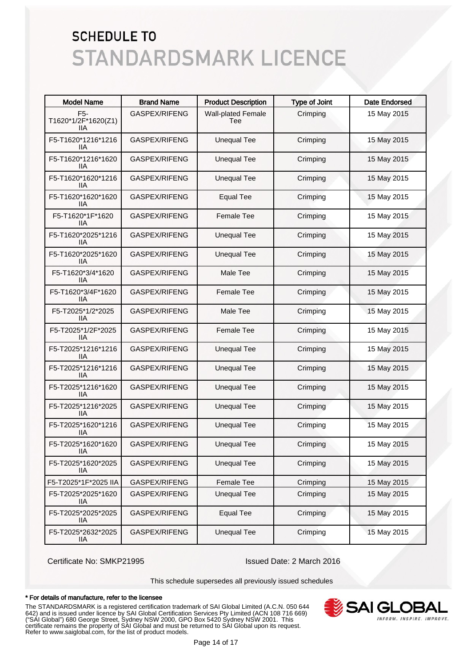| <b>Model Name</b>                              | <b>Brand Name</b> | <b>Product Description</b>       | <b>Type of Joint</b> | <b>Date Endorsed</b> |
|------------------------------------------------|-------------------|----------------------------------|----------------------|----------------------|
| F <sub>5</sub> -<br>T1620*1/2F*1620(Z1)<br>11A | GASPEX/RIFENG     | <b>Wall-plated Female</b><br>Tee | Crimping             | 15 May 2015          |
| F5-T1620*1216*1216<br>ШA                       | GASPEX/RIFENG     | <b>Unequal Tee</b>               | Crimping             | 15 May 2015          |
| F5-T1620*1216*1620<br>11A                      | GASPEX/RIFENG     | <b>Unequal Tee</b>               | Crimping             | 15 May 2015          |
| F5-T1620*1620*1216<br>ШA                       | GASPEX/RIFENG     | <b>Unequal Tee</b>               | Crimping             | 15 May 2015          |
| F5-T1620*1620*1620<br>ШA                       | GASPEX/RIFENG     | <b>Equal Tee</b>                 | Crimping             | 15 May 2015          |
| F5-T1620*1F*1620<br>11A                        | GASPEX/RIFENG     | <b>Female Tee</b>                | Crimping             | 15 May 2015          |
| F5-T1620*2025*1216<br>ШA                       | GASPEX/RIFENG     | <b>Unequal Tee</b>               | Crimping             | 15 May 2015          |
| F5-T1620*2025*1620<br>ШA                       | GASPEX/RIFENG     | <b>Unequal Tee</b>               | Crimping             | 15 May 2015          |
| F5-T1620*3/4*1620<br>liа                       | GASPEX/RIFENG     | Male Tee                         | Crimping             | 15 May 2015          |
| F5-T1620*3/4F*1620<br>liа                      | GASPEX/RIFENG     | <b>Female Tee</b>                | Crimping             | 15 May 2015          |
| F5-T2025*1/2*2025<br>llА                       | GASPEX/RIFENG     | Male Tee                         | Crimping             | 15 May 2015          |
| F5-T2025*1/2F*2025<br>llА                      | GASPEX/RIFENG     | Female Tee                       | Crimping             | 15 May 2015          |
| F5-T2025*1216*1216<br>11A                      | GASPEX/RIFENG     | <b>Unequal Tee</b>               | Crimping             | 15 May 2015          |
| F5-T2025*1216*1216<br>ШA                       | GASPEX/RIFENG     | <b>Unequal Tee</b>               | Crimping             | 15 May 2015          |
| F5-T2025*1216*1620<br>ШA                       | GASPEX/RIFENG     | <b>Unequal Tee</b>               | Crimping             | 15 May 2015          |
| F5-T2025*1216*2025<br>11A                      | GASPEX/RIFENG     | <b>Unequal Tee</b>               | Crimping             | 15 May 2015          |
| F5-T2025*1620*1216<br>ШA                       | GASPEX/RIFENG     | <b>Unequal Tee</b>               | Crimping             | 15 May 2015          |
| F5-T2025*1620*1620<br>IIA                      | GASPEX/RIFENG     | <b>Unequal Tee</b>               | Crimping             | 15 May 2015          |
| F5-T2025*1620*2025<br>11A                      | GASPEX/RIFENG     | <b>Unequal Tee</b>               | Crimping             | 15 May 2015          |
| F5-T2025*1F*2025 IIA                           | GASPEX/RIFENG     | <b>Female Tee</b>                | Crimping             | 15 May 2015          |
| F5-T2025*2025*1620<br>llА                      | GASPEX/RIFENG     | <b>Unequal Tee</b>               | Crimping             | 15 May 2015          |
| F5-T2025*2025*2025<br>IIА                      | GASPEX/RIFENG     | <b>Equal Tee</b>                 | Crimping             | 15 May 2015          |
| F5-T2025*2632*2025<br>IIA                      | GASPEX/RIFENG     | <b>Unequal Tee</b>               | Crimping             | 15 May 2015          |

Certificate No: SMKP21995 Issued Date: 2 March 2016

This schedule supersedes all previously issued schedules

#### \* For details of manufacture, refer to the licensee

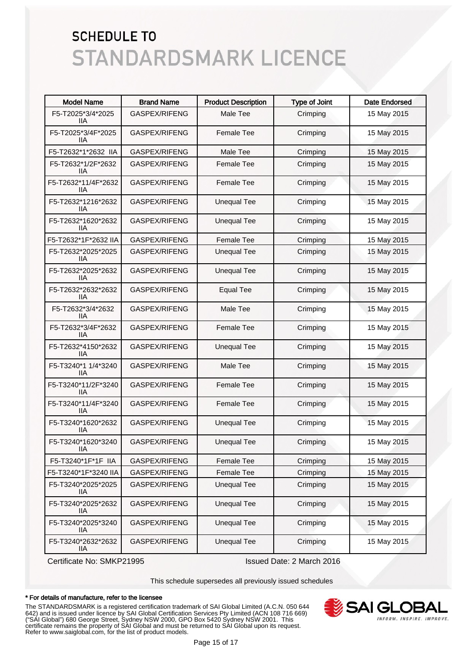| <b>Model Name</b>                | <b>Brand Name</b>    | <b>Product Description</b> | <b>Type of Joint</b> | <b>Date Endorsed</b> |
|----------------------------------|----------------------|----------------------------|----------------------|----------------------|
| F5-T2025*3/4*2025<br>IIА         | <b>GASPEX/RIFENG</b> | Male Tee                   | Crimping             | 15 May 2015          |
| F5-T2025*3/4F*2025<br>IIА        | GASPEX/RIFENG        | <b>Female Tee</b>          | Crimping             | 15 May 2015          |
| F5-T2632*1*2632 IIA              | <b>GASPEX/RIFENG</b> | Male Tee                   | Crimping             | 15 May 2015          |
| F5-T2632*1/2F*2632<br>IIA        | GASPEX/RIFENG        | <b>Female Tee</b>          | Crimping             | 15 May 2015          |
| F5-T2632*11/4F*2632<br>IIА       | GASPEX/RIFENG        | <b>Female Tee</b>          | Crimping             | 15 May 2015          |
| F5-T2632*1216*2632<br>IIА        | GASPEX/RIFENG        | <b>Unequal Tee</b>         | Crimping             | 15 May 2015          |
| F5-T2632*1620*2632<br>11A        | GASPEX/RIFENG        | <b>Unequal Tee</b>         | Crimping             | 15 May 2015          |
| F5-T2632*1F*2632 IIA             | GASPEX/RIFENG        | <b>Female Tee</b>          | Crimping             | 15 May 2015          |
| F5-T2632*2025*2025<br>IIА        | GASPEX/RIFENG        | <b>Unequal Tee</b>         | Crimping             | 15 May 2015          |
| F5-T2632*2025*2632<br>IIА        | GASPEX/RIFENG        | <b>Unequal Tee</b>         | Crimping             | 15 May 2015          |
| F5-T2632*2632*2632<br>IIА        | GASPEX/RIFENG        | <b>Equal Tee</b>           | Crimping             | 15 May 2015          |
| F5-T2632*3/4*2632<br>IIА         | GASPEX/RIFENG        | Male Tee                   | Crimping             | 15 May 2015          |
| F5-T2632*3/4F*2632<br>IIА        | GASPEX/RIFENG        | <b>Female Tee</b>          | Crimping             | 15 May 2015          |
| F5-T2632*4150*2632<br>IIА        | GASPEX/RIFENG        | <b>Unequal Tee</b>         | Crimping             | 15 May 2015          |
| F5-T3240*1 1/4*3240<br>IIА       | GASPEX/RIFENG        | Male Tee                   | Crimping             | 15 May 2015          |
| F5-T3240*11/2F*3240<br>IIА       | GASPEX/RIFENG        | Female Tee                 | Crimping             | 15 May 2015          |
| F5-T3240*11/4F*3240<br>IIА       | GASPEX/RIFENG        | Female Tee                 | Crimping             | 15 May 2015          |
| F5-T3240*1620*2632<br><b>IIA</b> | GASPEX/RIFENG        | <b>Unequal Tee</b>         | Crimping             | 15 May 2015          |
| F5-T3240*1620*3240<br>IIA        | GASPEX/RIFENG        | <b>Unequal Tee</b>         | Crimping             | 15 May 2015          |
| F5-T3240*1F*1F IIA               | GASPEX/RIFENG        | Female Tee                 | Crimping             | 15 May 2015          |
| F5-T3240*1F*3240 IIA             | GASPEX/RIFENG        | Female Tee                 | Crimping             | 15 May 2015          |
| F5-T3240*2025*2025<br>IIА        | GASPEX/RIFENG        | <b>Unequal Tee</b>         | Crimping             | 15 May 2015          |
| F5-T3240*2025*2632<br>IIА        | GASPEX/RIFENG        | <b>Unequal Tee</b>         | Crimping             | 15 May 2015          |
| F5-T3240*2025*3240<br>IIА        | GASPEX/RIFENG        | <b>Unequal Tee</b>         | Crimping             | 15 May 2015          |
| F5-T3240*2632*2632<br><b>IIA</b> | GASPEX/RIFENG        | <b>Unequal Tee</b>         | Crimping             | 15 May 2015          |

Certificate No: SMKP21995 Issued Date: 2 March 2016

This schedule supersedes all previously issued schedules

#### \* For details of manufacture, refer to the licensee

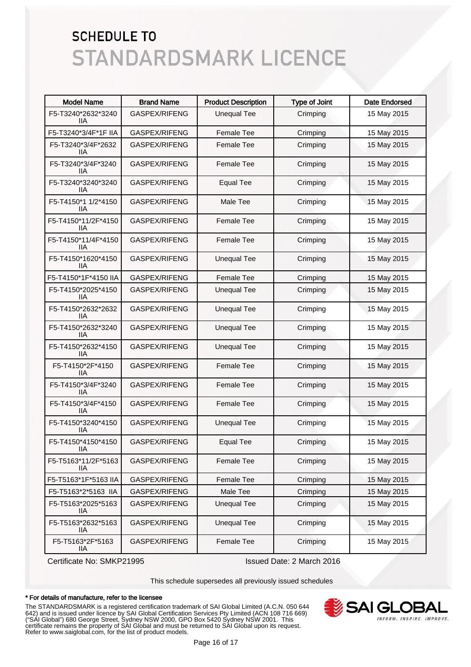| <b>Model Name</b>          | <b>Brand Name</b>    | <b>Product Description</b> | <b>Type of Joint</b> | <b>Date Endorsed</b> |
|----------------------------|----------------------|----------------------------|----------------------|----------------------|
| F5-T3240*2632*3240<br>llА  | <b>GASPEX/RIFENG</b> | <b>Unequal Tee</b>         | Crimping             | 15 May 2015          |
| F5-T3240*3/4F*1F IIA       | GASPEX/RIFENG        | <b>Female Tee</b>          | Crimping             | 15 May 2015          |
| F5-T3240*3/4F*2632<br>11A  | GASPEX/RIFENG        | <b>Female Tee</b>          | Crimping             | 15 May 2015          |
| F5-T3240*3/4F*3240<br>llА  | GASPEX/RIFENG        | <b>Female Tee</b>          | Crimping             | 15 May 2015          |
| F5-T3240*3240*3240<br>llА  | GASPEX/RIFENG        | <b>Equal Tee</b>           | Crimping             | 15 May 2015          |
| F5-T4150*1 1/2*4150<br>llА | GASPEX/RIFENG        | Male Tee                   | Crimping             | 15 May 2015          |
| F5-T4150*11/2F*4150<br>llА | GASPEX/RIFENG        | <b>Female Tee</b>          | Crimping             | 15 May 2015          |
| F5-T4150*11/4F*4150<br>llА | GASPEX/RIFENG        | <b>Female Tee</b>          | Crimping             | 15 May 2015          |
| F5-T4150*1620*4150<br>IIА  | <b>GASPEX/RIFENG</b> | <b>Unequal Tee</b>         | Crimping             | 15 May 2015          |
| F5-T4150*1F*4150 IIA       | <b>GASPEX/RIFENG</b> | <b>Female Tee</b>          | Crimping             | 15 May 2015          |
| F5-T4150*2025*4150<br>IIА  | GASPEX/RIFENG        | <b>Unequal Tee</b>         | Crimping             | 15 May 2015          |
| F5-T4150*2632*2632<br>IIА  | GASPEX/RIFENG        | <b>Unequal Tee</b>         | Crimping             | 15 May 2015          |
| F5-T4150*2632*3240<br>IIА  | <b>GASPEX/RIFENG</b> | <b>Unequal Tee</b>         | Crimping             | 15 May 2015          |
| F5-T4150*2632*4150<br>IIА  | GASPEX/RIFENG        | <b>Unequal Tee</b>         | Crimping             | 15 May 2015          |
| F5-T4150*2F*4150<br>IIА    | GASPEX/RIFENG        | <b>Female Tee</b>          | Crimping             | 15 May 2015          |
| F5-T4150*3/4F*3240<br>IIА  | GASPEX/RIFENG        | <b>Female Tee</b>          | Crimping             | 15 May 2015          |
| F5-T4150*3/4F*4150<br>llА  | GASPEX/RIFENG        | Female Tee                 | Crimping             | 15 May 2015          |
| F5-T4150*3240*4150<br>IIА  | GASPEX/RIFENG        | <b>Unequal Tee</b>         | Crimping             | 15 May 2015          |
| F5-T4150*4150*4150<br>IIA  | GASPEX/RIFENG        | <b>Equal Tee</b>           | Crimping             | 15 May 2015          |
| F5-T5163*11/2F*5163<br>llА | GASPEX/RIFENG        | <b>Female Tee</b>          | Crimping             | 15 May 2015          |
| F5-T5163*1F*5163 IIA       | GASPEX/RIFENG        | <b>Female Tee</b>          | Crimping             | 15 May 2015          |
| F5-T5163*2*5163 IIA        | GASPEX/RIFENG        | Male Tee                   | Crimping             | 15 May 2015          |
| F5-T5163*2025*5163<br>IIА  | GASPEX/RIFENG        | <b>Unequal Tee</b>         | Crimping             | 15 May 2015          |
| F5-T5163*2632*5163<br>IIА  | GASPEX/RIFENG        | <b>Unequal Tee</b>         | Crimping             | 15 May 2015          |
| F5-T5163*2F*5163<br>IIA.   | GASPEX/RIFENG        | Female Tee                 | Crimping             | 15 May 2015          |

Certificate No: SMKP21995 Issued Date: 2 March 2016

This schedule supersedes all previously issued schedules

#### \* For details of manufacture, refer to the licensee